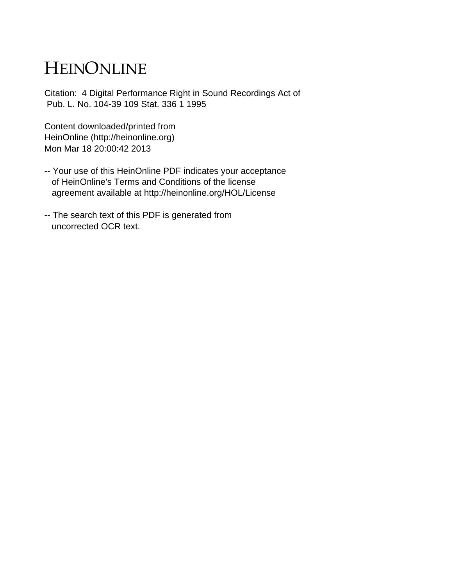# HEINONLINE

Citation: 4 Digital Performance Right in Sound Recordings Act of Pub. L. No. 104-39 109 Stat. 336 1 1995

Content downloaded/printed from HeinOnline (http://heinonline.org) Mon Mar 18 20:00:42 2013

- -- Your use of this HeinOnline PDF indicates your acceptance of HeinOnline's Terms and Conditions of the license agreement available at http://heinonline.org/HOL/License
- -- The search text of this PDF is generated from uncorrected OCR text.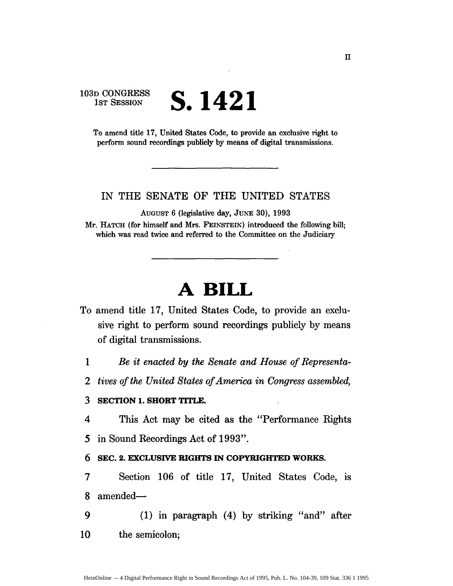### **103D CONGRESS 1ST** SESSION **S. 1421**

To amend title **17,** United States Code, to provide an exclusive right to perform sound recordings publicly **by** means of digital transmissions.

### IN THE **SENATE** OF THE **UNITED STATES**

AUGUST **6** (legislative day, JuNE **30), 1993**

Mr. HATCH (for himself and Mrs. FEINSTEIN) introduced the following bill; which was read twice and referred to the Committee on the Judiciary

## **A BILL**

- To amend title **17,** United States Code, to provide an exclusive right to perform sound recordings publicly **by** means of digital transmissions.
	- *1 Be it enacted by the Senate and House of Representa-*
	- 2 *tives of the United States of America in Congress assembled,*

#### **3 SECTION 1. SHORT TITLE.**

- 4 This Act may be cited as the "Performance Rights
- *5* in Sound Recordings Act of 1993".

### 6 **SEC. 2. EXCLUSIVE RIGHTS IN COPYRIGHTED WORKS.**

- **7** Section **106** of title **17,** United States Code, is **8** amended-
- 9 **(1)** in paragraph (4) **by** striking "and" after **10** the semicolon;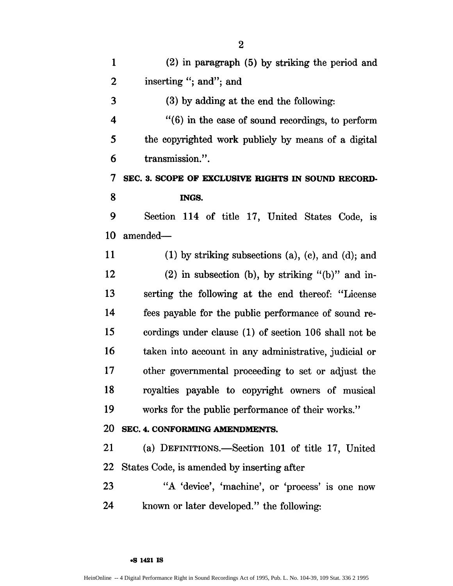| $\mathbf{1}$            | (2) in paragraph (5) by striking the period and               |
|-------------------------|---------------------------------------------------------------|
| 2                       | inserting "; and"; and                                        |
| 3                       | (3) by adding at the end the following:                       |
| $\overline{\mathbf{4}}$ | $\cdot$ (6) in the case of sound recordings, to perform       |
| 5                       | the copyrighted work publicly by means of a digital           |
| 6                       | transmission.".                                               |
| 7                       | SEC. 3. SCOPE OF EXCLUSIVE RIGHTS IN SOUND RECORD-            |
| 8                       | INGS.                                                         |
| 9                       | Section 114 of title 17, United States Code, is               |
| 10                      | amended-                                                      |
| 11                      | $(1)$ by striking subsections $(a)$ , $(c)$ , and $(d)$ ; and |
| 12                      | $(2)$ in subsection (b), by striking "(b)" and in-            |
| 13                      | serting the following at the end thereof: "License            |
| 14                      | fees payable for the public performance of sound re-          |
| 15                      | cordings under clause (1) of section 106 shall not be         |
| 16                      | taken into account in any administrative, judicial or         |
| 17                      | other governmental proceeding to set or adjust the            |
| 18                      | royalties payable to copyright owners of musical              |
| 19                      | works for the public performance of their works."             |
| <b>20</b>               | SEC. 4. CONFORMING AMENDMENTS.                                |
| 21                      | (a) DEFINITIONS.—Section 101 of title 17, United              |
| <b>22</b>               | States Code, is amended by inserting after                    |
| 23                      | "A 'device', 'machine', or 'process' is one now               |
| 24                      | known or later developed." the following:                     |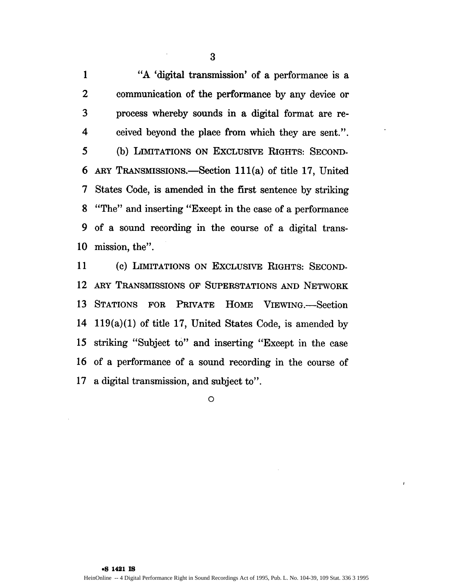**1** "A 'digital transmission' of a performance is a 2 communication of the performance by any device or 3 process whereby sounds in a digital format are re-4 ceived beyond the place from which they are sent.". 5 (b) LIMITATIONS ON EXCLUSIVE RIGHTS: SECOND-6 ARY TRANSMISSIONS.-Section 111(a) of title 17, United 7 States Code, is amended in the first sentence by striking **8** "The" and inserting "Except in the case of a performance 9 of a sound recording in the course of a digital trans-10 mission, the".

**11 (c)** LIMITATIONS ON EXCLUSIVE RIGHTS: SECOND-12 ARY TRANSMISSIONS OF SUPERSTATIONS **AND** NETWORK 13 STATIONS FOR PRIVATE HOME VIEWING.-Section 14 119(a)(1) of title 17, United States Code, is amended by 15 striking "Subject to" and inserting "Except in the case 16 of a performance of a sound recording in the course of 17 a digital transmission, and subject to".

**0**

**.S 1421 IS** HeinOnline -- 4 Digital Performance Right in Sound Recordings Act of 1995, Pub. L. No. 104-39, 109 Stat. 336 3 1995  $\overline{1}$